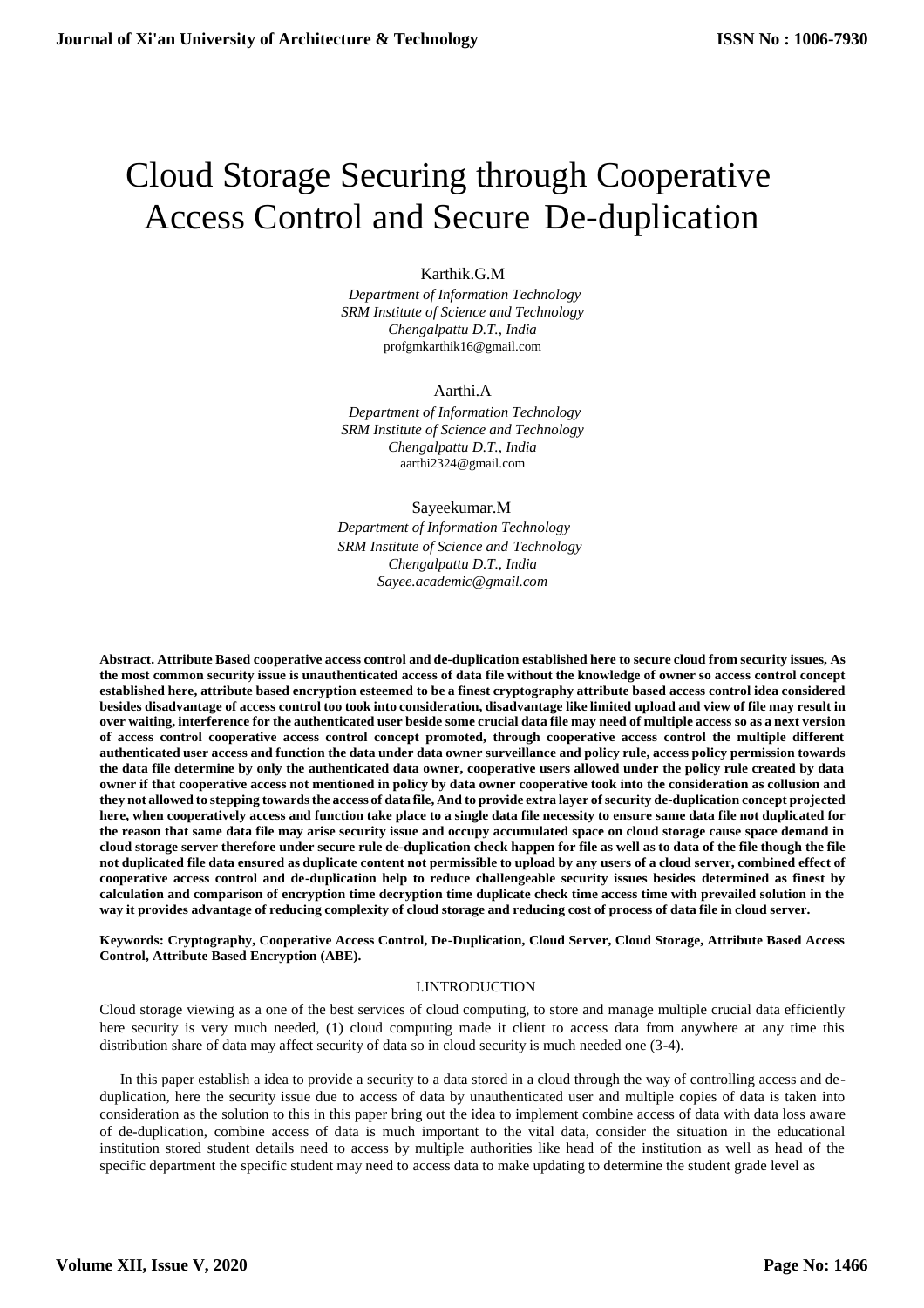# Cloud Storage Securing through Cooperative Access Control and Secure De-duplication

## Karthik.G.M

*Department of Information Technology SRM Institute of Science and Technology Chengalpattu D.T., India*  [profgmkarthik16@gmail.com](mailto:profgmkarthik16@gmail.com)

### Aarthi.A

*Department of Information Technology SRM Institute of Science and Technology Chengalpattu D.T., India*  [aarthi2324@gmail.com](mailto:aarthi2324@gmail.com)

### Sayeekumar.M

*Department of Information Technology SRM Institute of Science and Technology Chengalpattu D.T., India [Sayee.academic@gmail.com](mailto:Sayee.academic@gmail.com)*

Abstract. Attribute Based cooperative access control and de-duplication established here to secure cloud from security issues, As the most common security issue is unauthenticated access of data file without the knowledge of owner so access control concept established here, attribute based encryption esteemed to be a finest cryptography attribute based access control idea considered besides disadvantage of access control too took into consideration, disadvantage like limited upload and view of file may result in over waiting, interference for the authenticated user beside some crucial data file may need of multiple access so as a next version **of access control cooperative access control concept promoted, through cooperative access control the multiple different**  authenticated user access and function the data under data owner surveillance and policy rule, access policy permission towards **the data file determine by only the authenticated data owner, cooperative users allowed under the policy rule created by data**  owner if that cooperative access not mentioned in policy by data owner cooperative took into the consideration as collusion and they not allowed to stepping towards the access of data file, And to provide extra layer of security de-duplication concept projected here, when cooperatively access and function take place to a single data file necessity to ensure same data file not duplicated for **the reason that same data file may arise security issue and occupy accumulated space on cloud storage cause space demand in**  cloud storage server therefore under secure rule de-duplication check happen for file as well as to data of the file though the file not duplicated file data ensured as duplicate content not permissible to upload by any users of a cloud server, combined effect of **cooperative access control and de-duplication help to reduce challengeable security issues besides determined as finest by calculation and comparison of encryption time decryption time duplicate check time access time with prevailed solution in the** way it provides advantage of reducing complexity of cloud storage and reducing cost of process of data file in cloud server.

**Keywords: Cryptography, Cooperative Access Control, De-Duplication, Cloud Server, Cloud Storage, Attribute Based Access Control, Attribute Based Encryption (ABE).**

### I.INTRODUCTION

Cloud storage viewing as a one of the best services of cloud computing, to store and manage multiple crucial data efficiently here security is very much needed, (1) cloud computing made it client to access data from anywhere at any time this distribution share of data may affect security of data so in cloud security is much needed one (3-4).

In this paper establish a idea to provide a security to a data stored in a cloud through the way of controlling access and deduplication, here the security issue due to access of data by unauthenticated user and multiple copies of data is taken into consideration as the solution to this in this paper bring out the idea to implement combine access of data with data loss aware of de-duplication, combine access of data is much important to the vital data, consider the situation in the educational institution stored student details need to access by multiple authorities like head of the institution as well as head of the specific department the specific student may need to access data to make updating to determine the student grade level as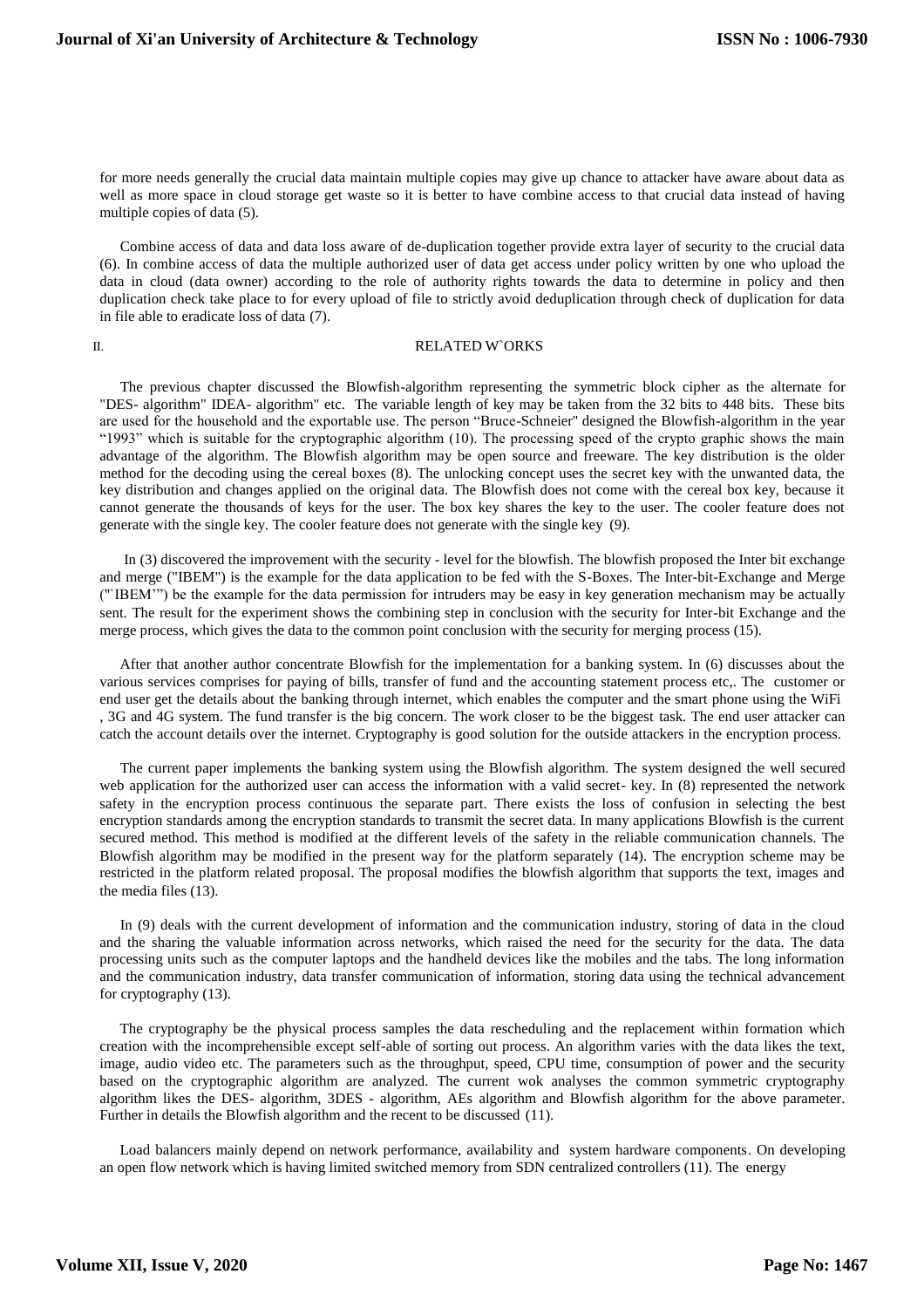for more needs generally the crucial data maintain multiple copies may give up chance to attacker have aware about data as well as more space in cloud storage get waste so it is better to have combine access to that crucial data instead of having multiple copies of data (5).

Combine access of data and data loss aware of de-duplication together provide extra layer of security to the crucial data (6). In combine access of data the multiple authorized user of data get access under policy written by one who upload the data in cloud (data owner) according to the role of authority rights towards the data to determine in policy and then duplication check take place to for every upload of file to strictly avoid deduplication through check of duplication for data in file able to eradicate loss of data (7).

#### II. RELATED WORKS

The previous chapter discussed the Blowfish-algorithm representing the symmetric block cipher as the alternate for "DES- algorithm" IDEA- algorithm" etc. The variable length of key may be taken from the 32 bits to 448 bits. These bits are used for the household and the exportable use. The person "Bruce-Schneier'' designed the Blowfish-algorithm in the year "1993" which is suitable for the cryptographic algorithm (10). The processing speed of the crypto graphic shows the main advantage of the algorithm. The Blowfish algorithm may be open source and freeware. The key distribution is the older method for the decoding using the cereal boxes (8). The unlocking concept uses the secret key with the unwanted data, the key distribution and changes applied on the original data. The Blowfish does not come with the cereal box key, because it cannot generate the thousands of keys for the user. The box key shares the key to the user. The cooler feature does not generate with the single key. The cooler feature does not generate with the single key (9).

In (3) discovered the improvement with the security - level for the blowfish. The blowfish proposed the Inter bit exchange and merge ("IBEM") is the example for the data application to be fed with the S-Boxes. The Inter-bit-Exchange and Merge (''`IBEM'") be the example for the data permission for intruders may be easy in key generation mechanism may be actually sent. The result for the experiment shows the combining step in conclusion with the security for Inter-bit Exchange and the merge process, which gives the data to the common point conclusion with the security for merging process (15).

After that another author concentrate Blowfish for the implementation for a banking system. In (6) discusses about the various services comprises for paying of bills, transfer of fund and the accounting statement process etc,. The customer or end user get the details about the banking through internet, which enables the computer and the smart phone using the WiFi , 3G and 4G system. The fund transfer is the big concern. The work closer to be the biggest task. The end user attacker can catch the account details over the internet. Cryptography is good solution for the outside attackers in the encryption process.

The current paper implements the banking system using the Blowfish algorithm. The system designed the well secured web application for the authorized user can access the information with a valid secret- key. In (8) represented the network safety in the encryption process continuous the separate part. There exists the loss of confusion in selecting the best encryption standards among the encryption standards to transmit the secret data. In many applications Blowfish is the current secured method. This method is modified at the different levels of the safety in the reliable communication channels. The Blowfish algorithm may be modified in the present way for the platform separately (14). The encryption scheme may be restricted in the platform related proposal. The proposal modifies the blowfish algorithm that supports the text, images and the media files (13).

In (9) deals with the current development of information and the communication industry, storing of data in the cloud and the sharing the valuable information across networks, which raised the need for the security for the data. The data processing units such as the computer laptops and the handheld devices like the mobiles and the tabs. The long information and the communication industry, data transfer communication of information, storing data using the technical advancement for cryptography (13).

The cryptography be the physical process samples the data rescheduling and the replacement within formation which creation with the incomprehensible except self-able of sorting out process. An algorithm varies with the data likes the text, image, audio video etc. The parameters such as the throughput, speed, CPU time, consumption of power and the security based on the cryptographic algorithm are analyzed. The current wok analyses the common symmetric cryptography algorithm likes the DES- algorithm, 3DES - algorithm, AEs algorithm and Blowfish algorithm for the above parameter. Further in details the Blowfish algorithm and the recent to be discussed (11).

Load balancers mainly depend on network performance, availability and system hardware components. On developing an open flow network which is having limited switched memory from SDN centralized controllers (11). The energy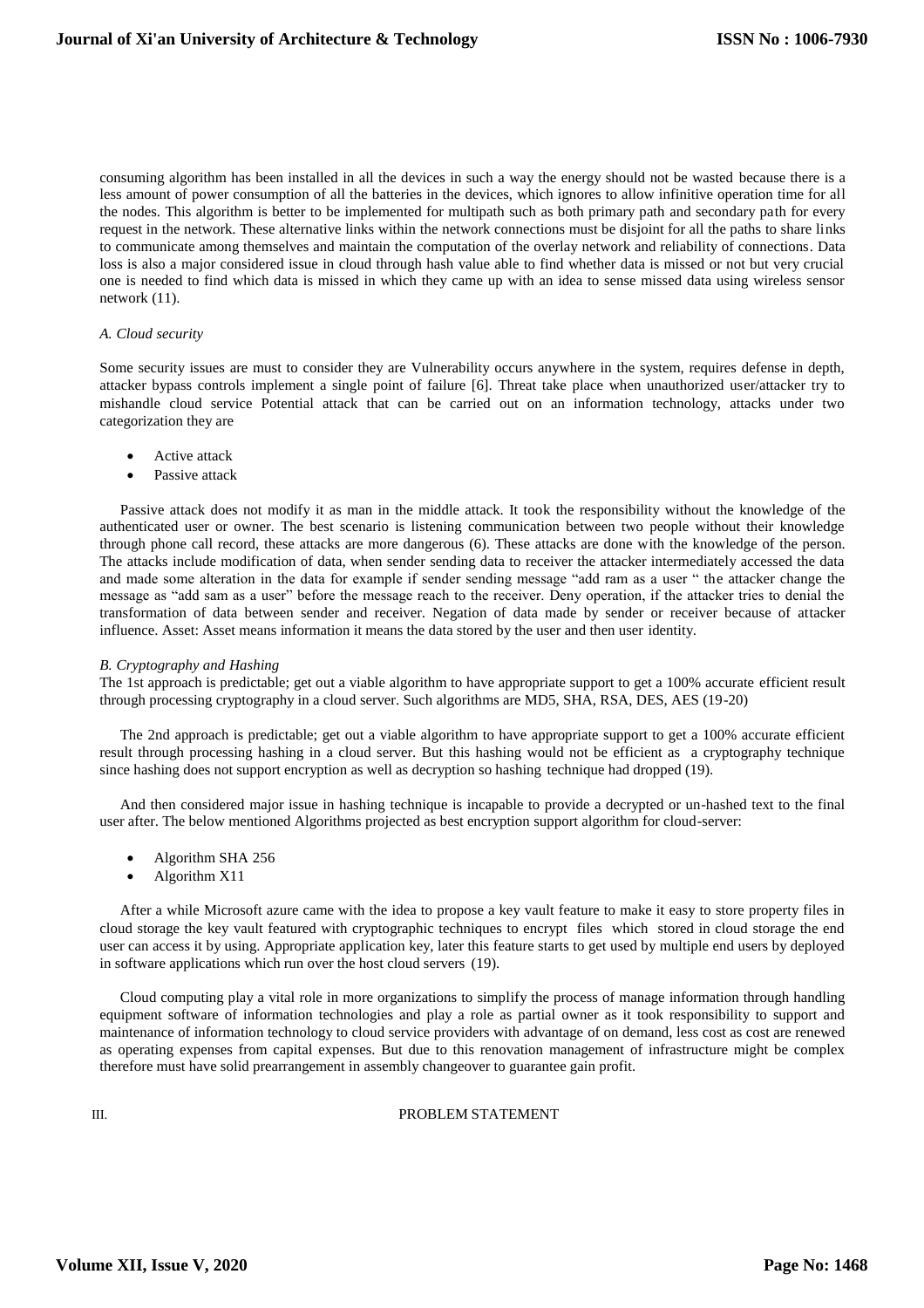consuming algorithm has been installed in all the devices in such a way the energy should not be wasted because there is a less amount of power consumption of all the batteries in the devices, which ignores to allow infinitive operation time for all the nodes. This algorithm is better to be implemented for multipath such as both primary path and secondary path for every request in the network. These alternative links within the network connections must be disjoint for all the paths to share links to communicate among themselves and maintain the computation of the overlay network and reliability of connections. Data loss is also a major considered issue in cloud through hash value able to find whether data is missed or not but very crucial one is needed to find which data is missed in which they came up with an idea to sense missed data using wireless sensor network (11).

#### *A. Cloud security*

Some security issues are must to consider they are Vulnerability occurs anywhere in the system, requires defense in depth, attacker bypass controls implement a single point of failure [6]. Threat take place when unauthorized user/attacker try to mishandle cloud service Potential attack that can be carried out on an information technology, attacks under two categorization they are

- Active attack
- Passive attack

Passive attack does not modify it as man in the middle attack. It took the responsibility without the knowledge of the authenticated user or owner. The best scenario is listening communication between two people without their knowledge through phone call record, these attacks are more dangerous (6). These attacks are done with the knowledge of the person. The attacks include modification of data, when sender sending data to receiver the attacker intermediately accessed the data and made some alteration in the data for example if sender sending message "add ram as a user " the attacker change the message as "add sam as a user" before the message reach to the receiver. Deny operation, if the attacker tries to denial the transformation of data between sender and receiver. Negation of data made by sender or receiver because of attacker influence. Asset: Asset means information it means the data stored by the user and then user identity.

#### *B. Cryptography and Hashing*

The 1st approach is predictable; get out a viable algorithm to have appropriate support to get a 100% accurate efficient result through processing cryptography in a cloud server. Such algorithms are MD5, SHA, RSA, DES, AES (19-20)

The 2nd approach is predictable; get out a viable algorithm to have appropriate support to get a 100% accurate efficient result through processing hashing in a cloud server. But this hashing would not be efficient as a cryptography technique since hashing does not support encryption as well as decryption so hashing technique had dropped (19).

And then considered major issue in hashing technique is incapable to provide a decrypted or un-hashed text to the final user after. The below mentioned Algorithms projected as best encryption support algorithm for cloud-server:

- Algorithm SHA 256
- Algorithm X11

After a while Microsoft azure came with the idea to propose a key vault feature to make it easy to store property files in cloud storage the key vault featured with cryptographic techniques to encrypt files which stored in cloud storage the end user can access it by using. Appropriate application key, later this feature starts to get used by multiple end users by deployed in software applications which run over the host cloud servers (19).

Cloud computing play a vital role in more organizations to simplify the process of manage information through handling equipment software of information technologies and play a role as partial owner as it took responsibility to support and maintenance of information technology to cloud service providers with advantage of on demand, less cost as cost are renewed as operating expenses from capital expenses. But due to this renovation management of infrastructure might be complex therefore must have solid prearrangement in assembly changeover to guarantee gain profit.

#### III. PROBLEM STATEMENT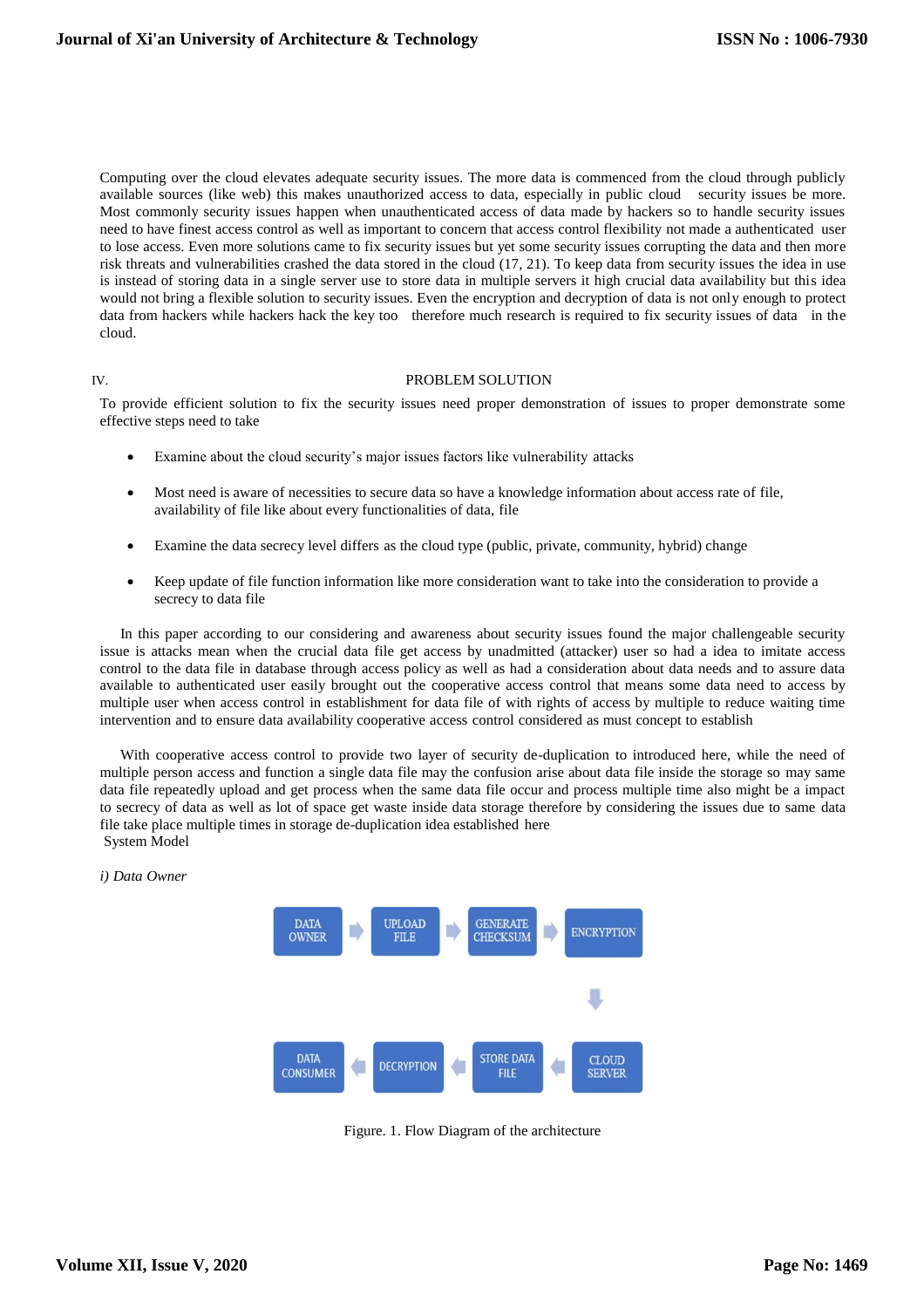Computing over the cloud elevates adequate security issues. The more data is commenced from the cloud through publicly available sources (like web) this makes unauthorized access to data, especially in public cloud security issues be more. Most commonly security issues happen when unauthenticated access of data made by hackers so to handle security issues need to have finest access control as well as important to concern that access control flexibility not made a authenticated user to lose access. Even more solutions came to fix security issues but yet some security issues corrupting the data and then more risk threats and vulnerabilities crashed the data stored in the cloud (17, 21). To keep data from security issues the idea in use is instead of storing data in a single server use to store data in multiple servers it high crucial data availability but this idea would not bring a flexible solution to security issues. Even the encryption and decryption of data is not only enough to protect data from hackers while hackers hack the key too therefore much research is required to fix security issues of data in the cloud.

#### IV. PROBLEM SOLUTION

To provide efficient solution to fix the security issues need proper demonstration of issues to proper demonstrate some effective steps need to take

- Examine about the cloud security's major issues factors like vulnerability attacks
- Most need is aware of necessities to secure data so have a knowledge information about access rate of file, availability of file like about every functionalities of data, file
- Examine the data secrecy level differs as the cloud type (public, private, community, hybrid) change
- Keep update of file function information like more consideration want to take into the consideration to provide a secrecy to data file

In this paper according to our considering and awareness about security issues found the major challengeable security issue is attacks mean when the crucial data file get access by unadmitted (attacker) user so had a idea to imitate access control to the data file in database through access policy as well as had a consideration about data needs and to assure data available to authenticated user easily brought out the cooperative access control that means some data need to access by multiple user when access control in establishment for data file of with rights of access by multiple to reduce waiting time intervention and to ensure data availability cooperative access control considered as must concept to establish

With cooperative access control to provide two layer of security de-duplication to introduced here, while the need of multiple person access and function a single data file may the confusion arise about data file inside the storage so may same data file repeatedly upload and get process when the same data file occur and process multiple time also might be a impact to secrecy of data as well as lot of space get waste inside data storage therefore by considering the issues due to same data file take place multiple times in storage de-duplication idea established here System Model

*i) Data Owner*



Figure. 1. Flow Diagram of the architecture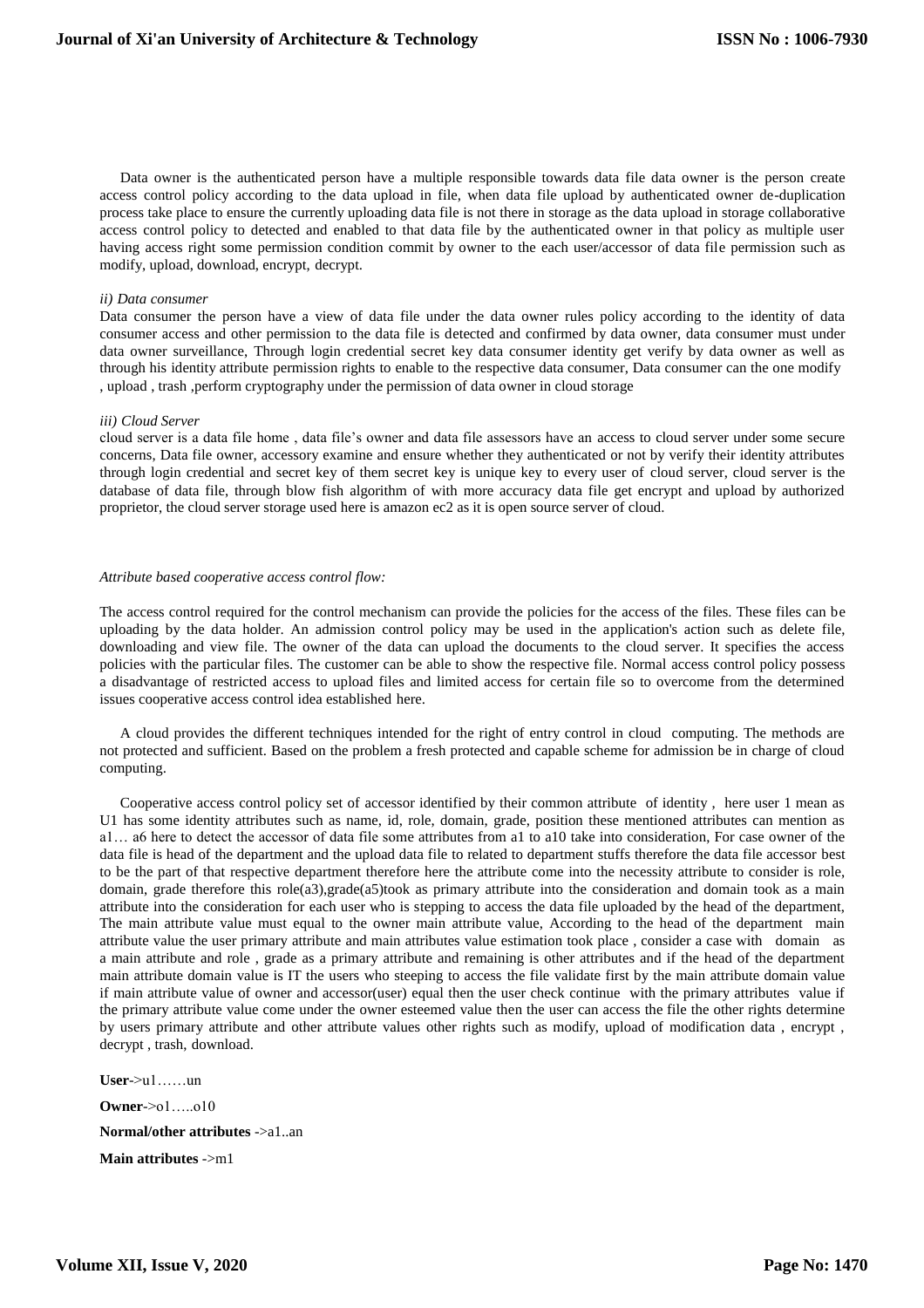Data owner is the authenticated person have a multiple responsible towards data file data owner is the person create access control policy according to the data upload in file, when data file upload by authenticated owner de-duplication process take place to ensure the currently uploading data file is not there in storage as the data upload in storage collaborative access control policy to detected and enabled to that data file by the authenticated owner in that policy as multiple user having access right some permission condition commit by owner to the each user/accessor of data file permission such as modify, upload, download, encrypt, decrypt.

#### *ii) Data consumer*

Data consumer the person have a view of data file under the data owner rules policy according to the identity of data consumer access and other permission to the data file is detected and confirmed by data owner, data consumer must under data owner surveillance, Through login credential secret key data consumer identity get verify by data owner as well as through his identity attribute permission rights to enable to the respective data consumer, Data consumer can the one modify , upload , trash ,perform cryptography under the permission of data owner in cloud storage

#### *iii) Cloud Server*

cloud server is a data file home , data file's owner and data file assessors have an access to cloud server under some secure concerns, Data file owner, accessory examine and ensure whether they authenticated or not by verify their identity attributes through login credential and secret key of them secret key is unique key to every user of cloud server, cloud server is the database of data file, through blow fish algorithm of with more accuracy data file get encrypt and upload by authorized proprietor, the cloud server storage used here is amazon ec2 as it is open source server of cloud.

#### *Attribute based cooperative access control flow:*

The access control required for the control mechanism can provide the policies for the access of the files. These files can be uploading by the data holder. An admission control policy may be used in the application's action such as delete file, downloading and view file. The owner of the data can upload the documents to the cloud server. It specifies the access policies with the particular files. The customer can be able to show the respective file. Normal access control policy possess a disadvantage of restricted access to upload files and limited access for certain file so to overcome from the determined issues cooperative access control idea established here.

A cloud provides the different techniques intended for the right of entry control in cloud computing. The methods are not protected and sufficient. Based on the problem a fresh protected and capable scheme for admission be in charge of cloud computing.

Cooperative access control policy set of accessor identified by their common attribute of identity , here user 1 mean as U1 has some identity attributes such as name, id, role, domain, grade, position these mentioned attributes can mention as a1… a6 here to detect the accessor of data file some attributes from a1 to a10 take into consideration, For case owner of the data file is head of the department and the upload data file to related to department stuffs therefore the data file accessor best to be the part of that respective department therefore here the attribute come into the necessity attribute to consider is role, domain, grade therefore this role(a3),grade(a5)took as primary attribute into the consideration and domain took as a main attribute into the consideration for each user who is stepping to access the data file uploaded by the head of the department, The main attribute value must equal to the owner main attribute value, According to the head of the department main attribute value the user primary attribute and main attributes value estimation took place , consider a case with domain as a main attribute and role , grade as a primary attribute and remaining is other attributes and if the head of the department main attribute domain value is IT the users who steeping to access the file validate first by the main attribute domain value if main attribute value of owner and accessor(user) equal then the user check continue with the primary attributes value if the primary attribute value come under the owner esteemed value then the user can access the file the other rights determine by users primary attribute and other attribute values other rights such as modify, upload of modification data , encrypt , decrypt , trash, download.

**User**->u1……un **Owner**->o1…..o10 **Normal/other attributes** ->a1..an **Main attributes** ->m1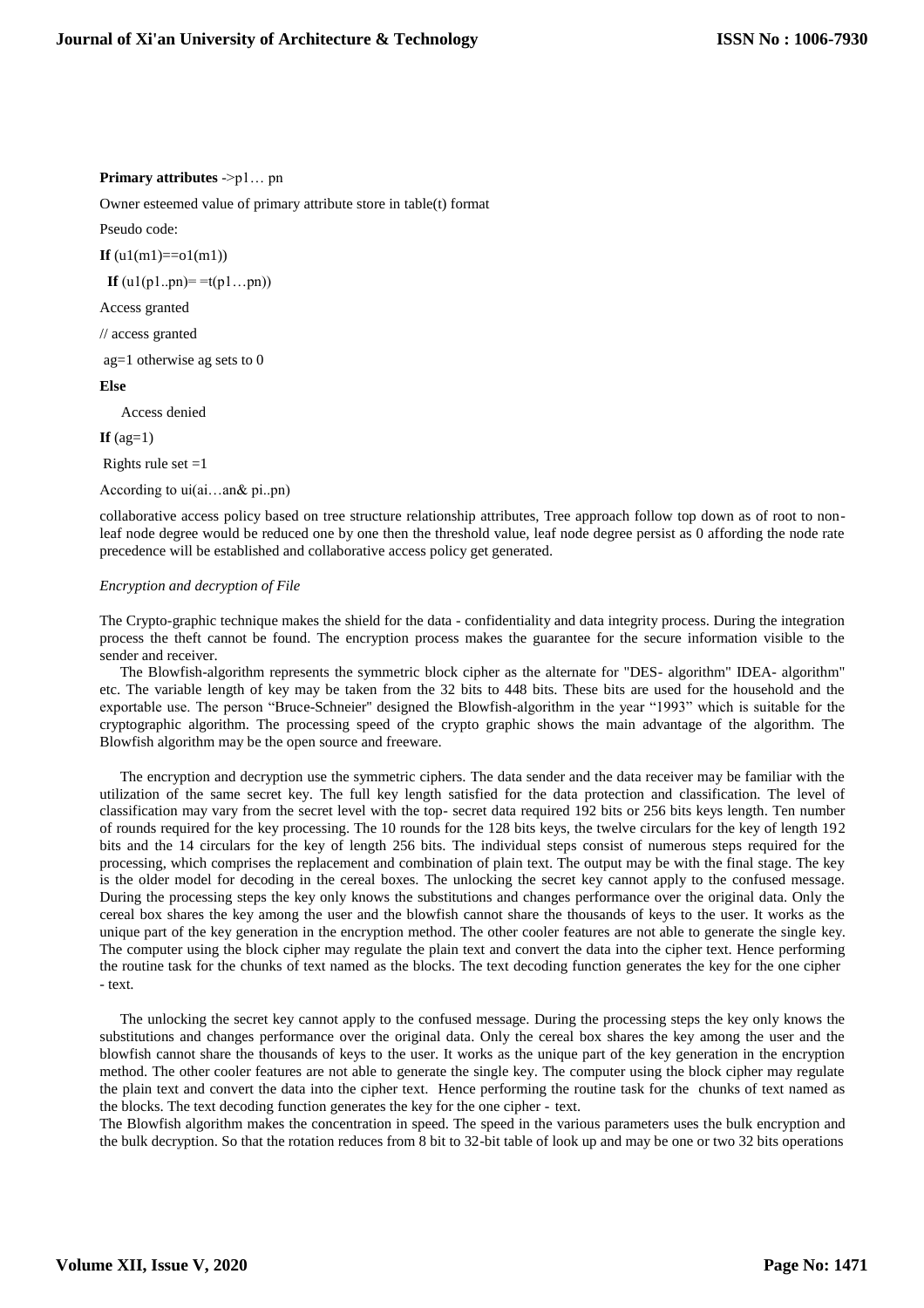#### **Primary attributes** ->p1… pn

Owner esteemed value of primary attribute store in table(t) format

Pseudo code:

**If**  $(u1(m1)=01(m1))$ 

**If**  $(u1(p1..pn)=t(p1...pn))$ 

Access granted

// access granted

ag=1 otherwise ag sets to 0

#### **Else**

Access denied

 $If$   $(aq=1)$ 

Rights rule set  $=1$ 

According to ui(ai…an& pi..pn)

collaborative access policy based on tree structure relationship attributes, Tree approach follow top down as of root to nonleaf node degree would be reduced one by one then the threshold value, leaf node degree persist as 0 affording the node rate precedence will be established and collaborative access policy get generated.

#### *Encryption and decryption of File*

The Crypto-graphic technique makes the shield for the data - confidentiality and data integrity process. During the integration process the theft cannot be found. The encryption process makes the guarantee for the secure information visible to the sender and receiver.

The Blowfish-algorithm represents the symmetric block cipher as the alternate for "DES- algorithm" IDEA- algorithm" etc. The variable length of key may be taken from the 32 bits to 448 bits. These bits are used for the household and the exportable use. The person "Bruce-Schneier'' designed the Blowfish-algorithm in the year "1993" which is suitable for the cryptographic algorithm. The processing speed of the crypto graphic shows the main advantage of the algorithm. The Blowfish algorithm may be the open source and freeware.

The encryption and decryption use the symmetric ciphers. The data sender and the data receiver may be familiar with the utilization of the same secret key. The full key length satisfied for the data protection and classification. The level of classification may vary from the secret level with the top- secret data required 192 bits or 256 bits keys length. Ten number of rounds required for the key processing. The 10 rounds for the 128 bits keys, the twelve circulars for the key of length 192 bits and the 14 circulars for the key of length 256 bits. The individual steps consist of numerous steps required for the processing, which comprises the replacement and combination of plain text. The output may be with the final stage. The key is the older model for decoding in the cereal boxes. The unlocking the secret key cannot apply to the confused message. During the processing steps the key only knows the substitutions and changes performance over the original data. Only the cereal box shares the key among the user and the blowfish cannot share the thousands of keys to the user. It works as the unique part of the key generation in the encryption method. The other cooler features are not able to generate the single key. The computer using the block cipher may regulate the plain text and convert the data into the cipher text. Hence performing the routine task for the chunks of text named as the blocks. The text decoding function generates the key for the one cipher - text.

The unlocking the secret key cannot apply to the confused message. During the processing steps the key only knows the substitutions and changes performance over the original data. Only the cereal box shares the key among the user and the blowfish cannot share the thousands of keys to the user. It works as the unique part of the key generation in the encryption method. The other cooler features are not able to generate the single key. The computer using the block cipher may regulate the plain text and convert the data into the cipher text. Hence performing the routine task for the chunks of text named as the blocks. The text decoding function generates the key for the one cipher - text.

The Blowfish algorithm makes the concentration in speed. The speed in the various parameters uses the bulk encryption and the bulk decryption. So that the rotation reduces from 8 bit to 32-bit table of look up and may be one or two 32 bits operations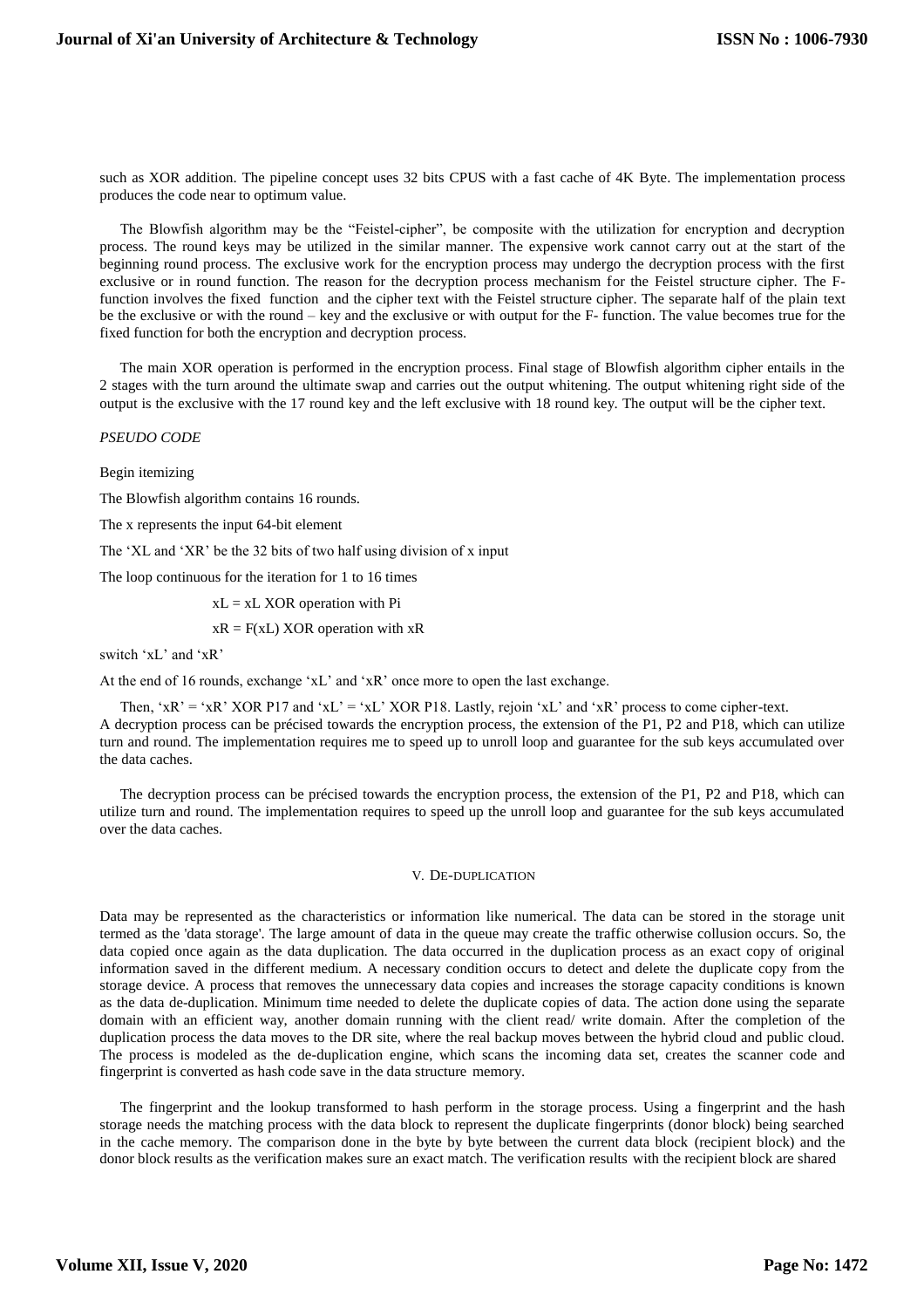such as XOR addition. The pipeline concept uses 32 bits CPUS with a fast cache of 4K Byte. The implementation process produces the code near to optimum value.

The Blowfish algorithm may be the "Feistel-cipher", be composite with the utilization for encryption and decryption process. The round keys may be utilized in the similar manner. The expensive work cannot carry out at the start of the beginning round process. The exclusive work for the encryption process may undergo the decryption process with the first exclusive or in round function. The reason for the decryption process mechanism for the Feistel structure cipher. The Ffunction involves the fixed function and the cipher text with the Feistel structure cipher. The separate half of the plain text be the exclusive or with the round – key and the exclusive or with output for the F- function. The value becomes true for the fixed function for both the encryption and decryption process.

The main XOR operation is performed in the encryption process. Final stage of Blowfish algorithm cipher entails in the 2 stages with the turn around the ultimate swap and carries out the output whitening. The output whitening right side of the output is the exclusive with the 17 round key and the left exclusive with 18 round key. The output will be the cipher text.

*PSEUDO CODE*

Begin itemizing

The Blowfish algorithm contains 16 rounds.

The x represents the input 64-bit element

The 'XL and 'XR' be the 32 bits of two half using division of x input

The loop continuous for the iteration for 1 to 16 times

 $xL = xL XOR$  operation with Pi

 $xR = F(xL) XOR operation with xR$ 

switch 'xL' and 'xR'

At the end of 16 rounds, exchange 'xL' and 'xR' once more to open the last exchange.

Then, 'xR' = 'xR' XOR P17 and 'xL' = 'xL' XOR P18. Lastly, rejoin 'xL' and 'xR' process to come cipher-text. A decryption process can be précised towards the encryption process, the extension of the P1, P2 and P18, which can utilize turn and round. The implementation requires me to speed up to unroll loop and guarantee for the sub keys accumulated over the data caches.

The decryption process can be précised towards the encryption process, the extension of the P1, P2 and P18, which can utilize turn and round. The implementation requires to speed up the unroll loop and guarantee for the sub keys accumulated over the data caches.

#### V. DE-DUPLICATION

Data may be represented as the characteristics or information like numerical. The data can be stored in the storage unit termed as the 'data storage'. The large amount of data in the queue may create the traffic otherwise collusion occurs. So, the data copied once again as the data duplication. The data occurred in the duplication process as an exact copy of original information saved in the different medium. A necessary condition occurs to detect and delete the duplicate copy from the storage device. A process that removes the unnecessary data copies and increases the storage capacity conditions is known as the data de-duplication. Minimum time needed to delete the duplicate copies of data. The action done using the separate domain with an efficient way, another domain running with the client read/ write domain. After the completion of the duplication process the data moves to the DR site, where the real backup moves between the hybrid cloud and public cloud. The process is modeled as the de-duplication engine, which scans the incoming data set, creates the scanner code and fingerprint is converted as hash code save in the data structure memory.

The fingerprint and the lookup transformed to hash perform in the storage process. Using a fingerprint and the hash storage needs the matching process with the data block to represent the duplicate fingerprints (donor block) being searched in the cache memory. The comparison done in the byte by byte between the current data block (recipient block) and the donor block results as the verification makes sure an exact match. The verification results with the recipient block are shared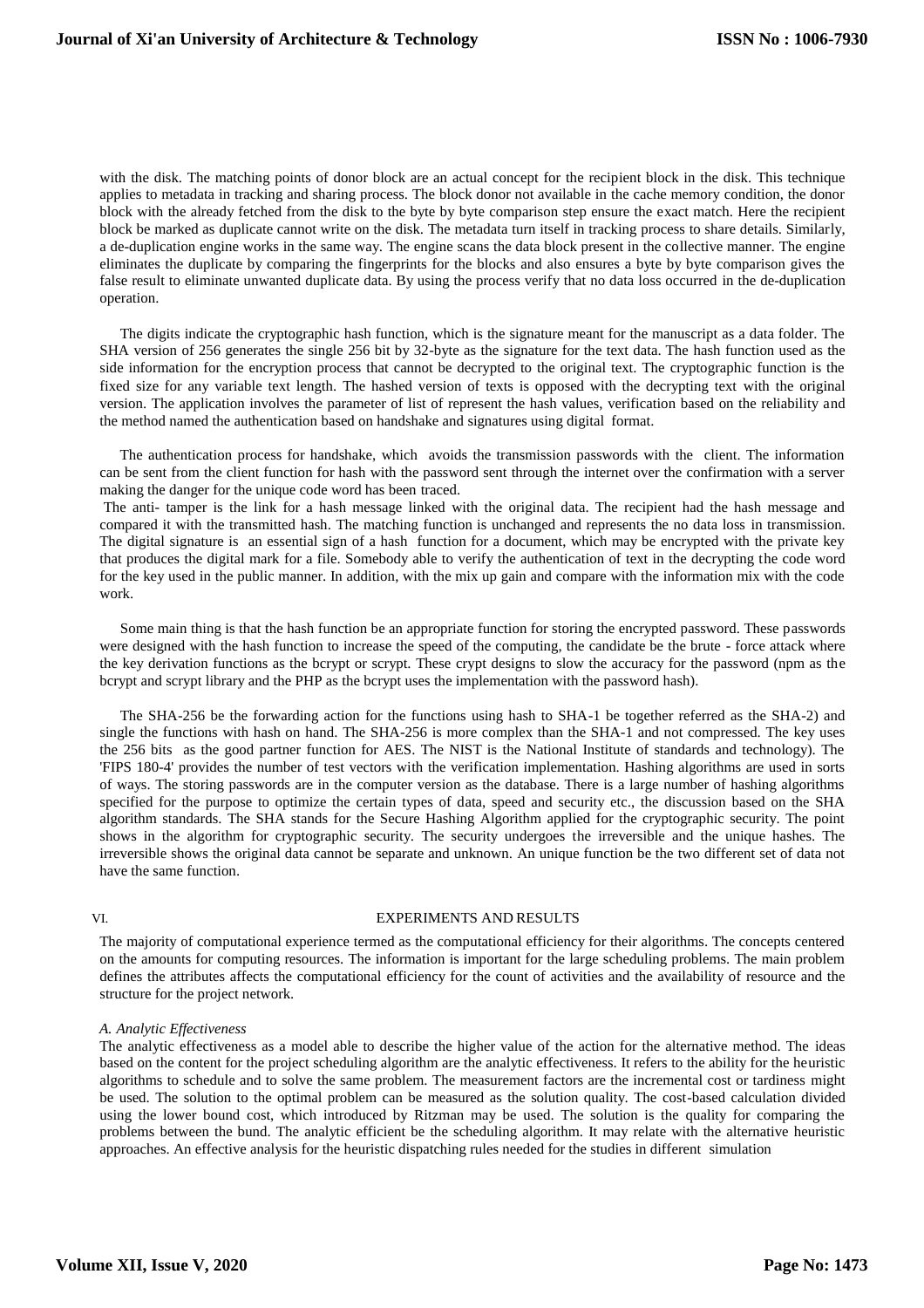with the disk. The matching points of donor block are an actual concept for the recipient block in the disk. This technique applies to metadata in tracking and sharing process. The block donor not available in the cache memory condition, the donor block with the already fetched from the disk to the byte by byte comparison step ensure the exact match. Here the recipient block be marked as duplicate cannot write on the disk. The metadata turn itself in tracking process to share details. Similarly, a de-duplication engine works in the same way. The engine scans the data block present in the collective manner. The engine eliminates the duplicate by comparing the fingerprints for the blocks and also ensures a byte by byte comparison gives the false result to eliminate unwanted duplicate data. By using the process verify that no data loss occurred in the de-duplication operation.

The digits indicate the cryptographic hash function, which is the signature meant for the manuscript as a data folder. The SHA version of 256 generates the single 256 bit by 32-byte as the signature for the text data. The hash function used as the side information for the encryption process that cannot be decrypted to the original text. The cryptographic function is the fixed size for any variable text length. The hashed version of texts is opposed with the decrypting text with the original version. The application involves the parameter of list of represent the hash values, verification based on the reliability and the method named the authentication based on handshake and signatures using digital format.

The authentication process for handshake, which avoids the transmission passwords with the client. The information can be sent from the client function for hash with the password sent through the internet over the confirmation with a server making the danger for the unique code word has been traced.

The anti- tamper is the link for a hash message linked with the original data. The recipient had the hash message and compared it with the transmitted hash. The matching function is unchanged and represents the no data loss in transmission. The digital signature is an essential sign of a hash function for a document, which may be encrypted with the private key that produces the digital mark for a file. Somebody able to verify the authentication of text in the decrypting the code word for the key used in the public manner. In addition, with the mix up gain and compare with the information mix with the code work.

Some main thing is that the hash function be an appropriate function for storing the encrypted password. These passwords were designed with the hash function to increase the speed of the computing, the candidate be the brute - force attack where the key derivation functions as the bcrypt or scrypt. These crypt designs to slow the accuracy for the password (npm as the bcrypt and scrypt library and the PHP as the bcrypt uses the implementation with the password hash).

The SHA-256 be the forwarding action for the functions using hash to SHA-1 be together referred as the SHA-2) and single the functions with hash on hand. The SHA-256 is more complex than the SHA-1 and not compressed. The key uses the 256 bits as the good partner function for AES. The NIST is the National Institute of standards and technology). The 'FIPS 180-4' provides the number of test vectors with the verification implementation. Hashing algorithms are used in sorts of ways. The storing passwords are in the computer version as the database. There is a large number of hashing algorithms specified for the purpose to optimize the certain types of data, speed and security etc., the discussion based on the SHA algorithm standards. The SHA stands for the Secure Hashing Algorithm applied for the cryptographic security. The point shows in the algorithm for cryptographic security. The security undergoes the irreversible and the unique hashes. The irreversible shows the original data cannot be separate and unknown. An unique function be the two different set of data not have the same function.

#### VI. EXPERIMENTS AND RESULTS

The majority of computational experience termed as the computational efficiency for their algorithms. The concepts centered on the amounts for computing resources. The information is important for the large scheduling problems. The main problem defines the attributes affects the computational efficiency for the count of activities and the availability of resource and the structure for the project network.

#### *A. Analytic Effectiveness*

The analytic effectiveness as a model able to describe the higher value of the action for the alternative method. The ideas based on the content for the project scheduling algorithm are the analytic effectiveness. It refers to the ability for the heuristic algorithms to schedule and to solve the same problem. The measurement factors are the incremental cost or tardiness might be used. The solution to the optimal problem can be measured as the solution quality. The cost-based calculation divided using the lower bound cost, which introduced by Ritzman may be used. The solution is the quality for comparing the problems between the bund. The analytic efficient be the scheduling algorithm. It may relate with the alternative heuristic approaches. An effective analysis for the heuristic dispatching rules needed for the studies in different simulation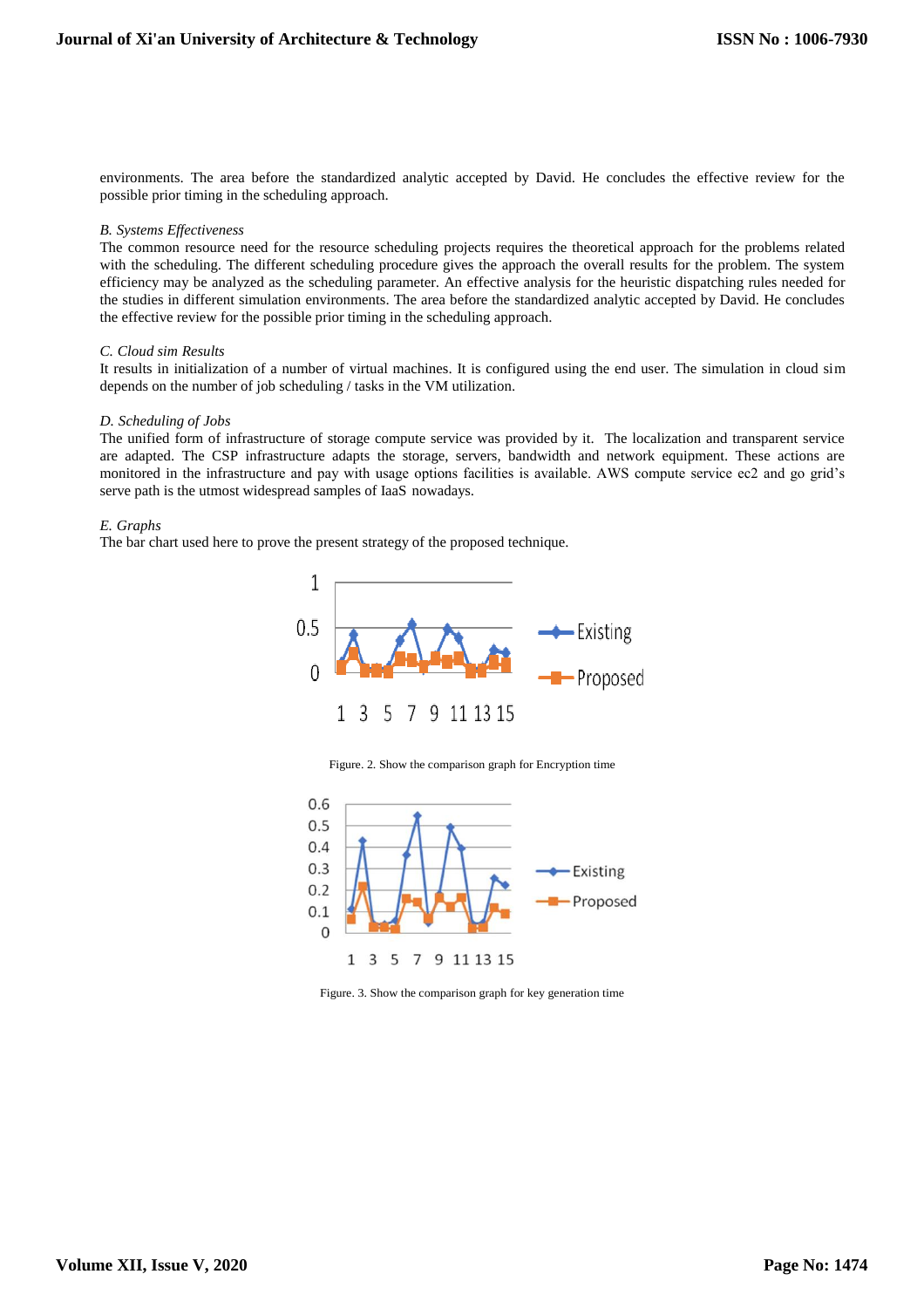environments. The area before the standardized analytic accepted by David. He concludes the effective review for the possible prior timing in the scheduling approach.

#### *B. Systems Effectiveness*

The common resource need for the resource scheduling projects requires the theoretical approach for the problems related with the scheduling. The different scheduling procedure gives the approach the overall results for the problem. The system efficiency may be analyzed as the scheduling parameter. An effective analysis for the heuristic dispatching rules needed for the studies in different simulation environments. The area before the standardized analytic accepted by David. He concludes the effective review for the possible prior timing in the scheduling approach.

#### *C. Cloud sim Results*

It results in initialization of a number of virtual machines. It is configured using the end user. The simulation in cloud sim depends on the number of job scheduling / tasks in the VM utilization.

#### *D. Scheduling of Jobs*

The unified form of infrastructure of storage compute service was provided by it. The localization and transparent service are adapted. The CSP infrastructure adapts the storage, servers, bandwidth and network equipment. These actions are monitored in the infrastructure and pay with usage options facilities is available. AWS compute service ec2 and go grid's serve path is the utmost widespread samples of IaaS nowadays.

#### *E. Graphs*

The bar chart used here to prove the present strategy of the proposed technique.



Figure. 2. Show the comparison graph for Encryption time



Figure. 3. Show the comparison graph for key generation time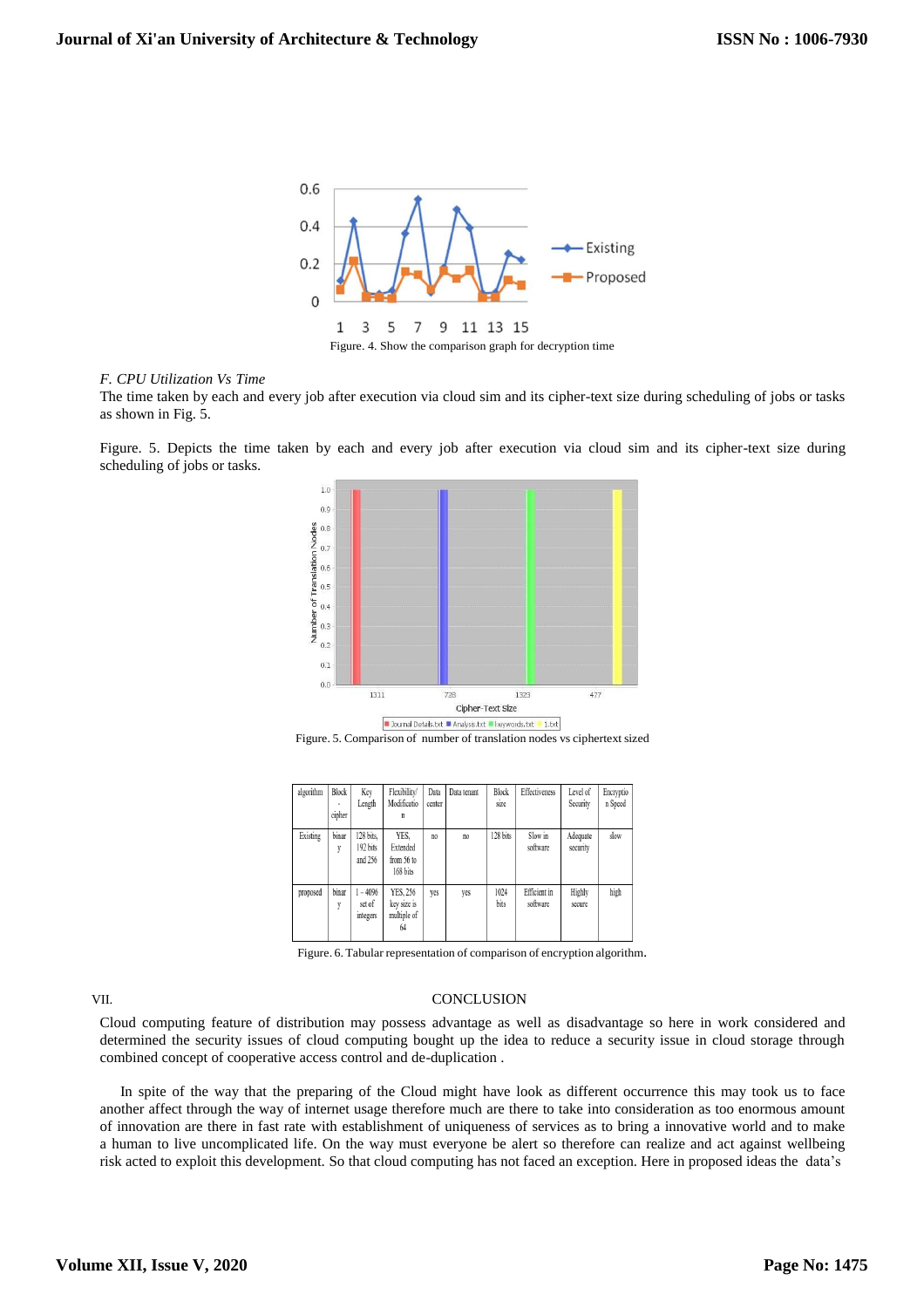

Figure. 4. Show the comparison graph for decryption time

#### *F. CPU Utilization Vs Time*

The time taken by each and every job after execution via cloud sim and its cipher-text size during scheduling of jobs or tasks as shown in Fig. 5.

Figure. 5. Depicts the time taken by each and every job after execution via cloud sim and its cipher-text size during scheduling of jobs or tasks.



Figure. 5. Comparison of number of translation nodes vs ciphertext sized

| algorithm | Block<br>٠<br>cipher | Key<br>Length                    | Flexibility/<br>Modificatio<br>n             | Data<br>center | Data tenant | Block<br>size | Effectiveness            | Level of<br>Security | Encryptio<br>n Speed |
|-----------|----------------------|----------------------------------|----------------------------------------------|----------------|-------------|---------------|--------------------------|----------------------|----------------------|
| Existing  | binar<br>y           | 128 bits,<br>192 bits<br>and 256 | YES,<br>Extended<br>from 56 to<br>168 bits   | no             | no.         | 128 bits      | Slow in<br>software      | Adequate<br>security | slow                 |
| proposed  | binar<br>y           | $1 - 4096$<br>set of<br>integers | YES, 256<br>key size is<br>multiple of<br>64 | yes            | yes         | 1024<br>bits  | Efficient in<br>software | Highly<br>secure     | high                 |

Figure. 6. Tabular representation of comparison of encryption algorithm.

#### VII. CONCLUSION

Cloud computing feature of distribution may possess advantage as well as disadvantage so here in work considered and determined the security issues of cloud computing bought up the idea to reduce a security issue in cloud storage through combined concept of cooperative access control and de-duplication .

In spite of the way that the preparing of the Cloud might have look as different occurrence this may took us to face another affect through the way of internet usage therefore much are there to take into consideration as too enormous amount of innovation are there in fast rate with establishment of uniqueness of services as to bring a innovative world and to make a human to live uncomplicated life. On the way must everyone be alert so therefore can realize and act against wellbeing risk acted to exploit this development. So that cloud computing has not faced an exception. Here in proposed ideas the data's